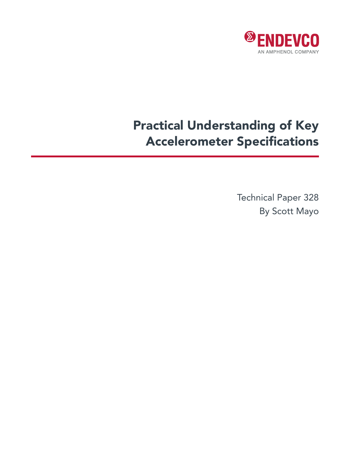

# Practical Understanding of Key Accelerometer Specifications

Technical Paper 328 By Scott Mayo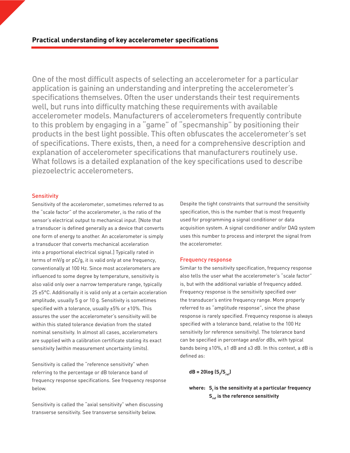One of the most difficult aspects of selecting an accelerometer for a particular application is gaining an understanding and interpreting the accelerometer's specifications themselves. Often the user understands their test requirements well, but runs into difficulty matching these requirements with available accelerometer models. Manufacturers of accelerometers frequently contribute to this problem by engaging in a "game" of "specmanship" by positioning their products in the best light possible. This often obfuscates the accelerometer's set of specifications. There exists, then, a need for a comprehensive description and explanation of accelerometer specifications that manufacturers routinely use. What follows is a detailed explanation of the key specifications used to describe piezoelectric accelerometers.

### **Sensitivity**

Sensitivity of the accelerometer, sometimes referred to as the "scale factor" of the accelerometer, is the ratio of the sensor's electrical output to mechanical input. [Note that a transducer is defined generally as a device that converts one form of energy to another. An accelerometer is simply a transducer that converts mechanical acceleration into a proportional electrical signal.] Typically rated in terms of mV/g or pC/g, it is valid only at one frequency, conventionally at 100 Hz. Since most accelerometers are influenced to some degree by temperature, sensitivity is also valid only over a narrow temperature range, typically 25 ±5°C. Additionally it is valid only at a certain acceleration amplitude, usually 5 g or 10 g. Sensitivity is sometimes specified with a tolerance, usually ±5% or ±10%. This assures the user the accelerometer's sensitivity will be within this stated tolerance deviation from the stated nominal sensitivity. In almost all cases, accelerometers are supplied with a calibration certificate stating its exact sensitivity (within measurement uncertainty limits).

Sensitivity is called the "reference sensitivity" when referring to the percentage or dB tolerance band of frequency response specifications. See frequency response below.

Sensitivity is called the "axial sensitivity" when discussing transverse sensitivity. See transverse sensitivity below.

Despite the tight constraints that surround the sensitivity specification, this is the number that is most frequently used for programming a signal conditioner or data acquisition system. A signal conditioner and/or DAQ system uses this number to process and interpret the signal from the accelerometer.

#### Frequency response

Similar to the sensitivity specification, frequency response also tells the user what the accelerometer's "scale factor" is, but with the additional variable of frequency added. Frequency response is the sensitivity specified over the transducer's entire frequency range. More properly referred to as "amplitude response", since the phase response is rarely specified. Frequency response is always specified with a tolerance band, relative to the 100 Hz sensitivity (or reference sensitivity). The tolerance band can be specified in percentage and/or dBs, with typical bands being  $\pm 10\%$ ,  $\pm 1$  dB and  $\pm 3$  dB. In this context, a dB is defined as:

**dB = 20log (Sf /Sref)**

# where:  $\mathsf{S}_{\mathsf{f}}$  is the sensitivity at a particular frequency **S<sub>ref</sub>** is the reference sensitivity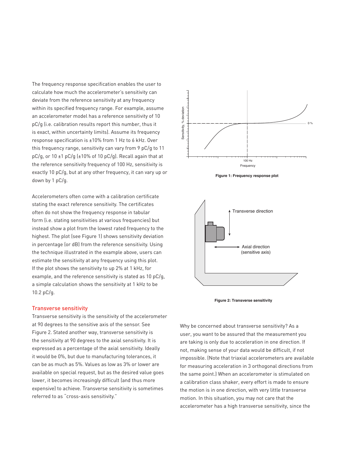The frequency response specification enables the user to calculate how much the accelerometer's sensitivity can deviate from the reference sensitivity at any frequency within its specified frequency range. For example, assume an accelerometer model has a reference sensitivity of 10 pC/g (i.e. calibration results report this number, thus it is exact, within uncertainty limits). Assume its frequency response specification is ±10% from 1 Hz to 6 kHz. Over this frequency range, sensitivity can vary from 9 pC/g to 11 pC/g, or 10 ±1 pC/g (±10% of 10 pC/g). Recall again that at the reference sensitivity frequency of 100 Hz, sensitivity is exactly 10 pC/g, but at any other frequency, it can vary up or down by 1 pC/g.

Accelerometers often come with a calibration certificate stating the exact reference sensitivity. The certificates often do not show the frequency response in tabular form (i.e. stating sensitivities at various frequencies) but instead show a plot from the lowest rated frequency to the highest. The plot (see Figure 1) shows sensitivity deviation in percentage (or dB) from the reference sensitivity. Using the technique illustrated in the example above, users can estimate the sensitivity at any frequency using this plot. If the plot shows the sensitivity to up 2% at 1 kHz, for example, and the reference sensitivity is stated as 10 pC/g, a simple calculation shows the sensitivity at 1 kHz to be 10.2 pC/g.

#### Transverse sensitivity

Transverse sensitivity is the sensitivity of the accelerometer at 90 degrees to the sensitive axis of the sensor. See Figure 2. Stated another way, transverse sensitivity is the sensitivity at 90 degrees to the axial sensitivity. It is expressed as a percentage of the axial sensitivity. Ideally it would be 0%, but due to manufacturing tolerances, it can be as much as 5%. Values as low as 3% or lower are available on special request, but as the desired value goes lower, it becomes increasingly difficult (and thus more expensive) to achieve. Transverse sensitivity is sometimes referred to as "cross-axis sensitivity."









Why be concerned about transverse sensitivity? As a user, you want to be assured that the measurement you are taking is only due to acceleration in one direction. If not, making sense of your data would be difficult, if not impossible. (Note that triaxial accelerometers are available for measuring acceleration in 3 orthogonal directions from the same point.) When an accelerometer is stimulated on a calibration class shaker, every effort is made to ensure the motion is in one direction, with very little transverse motion. In this situation, you may not care that the accelerometer has a high transverse sensitivity, since the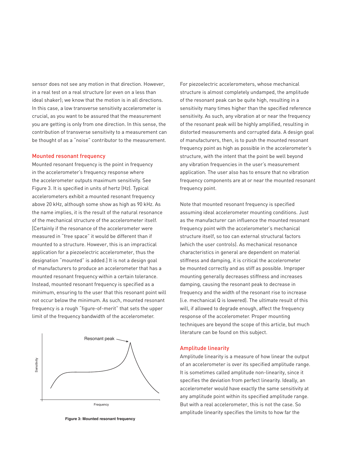sensor does not see any motion in that direction. However, in a real test on a real structure (or even on a less than ideal shaker); we know that the motion is in all directions. In this case, a low transverse sensitivity accelerometer is crucial, as you want to be assured that the measurement you are getting is only from one direction. In this sense, the contribution of transverse sensitivity to a measurement can be thought of as a "noise" contributor to the measurement.

#### Mounted resonant frequency

Mounted resonant frequency is the point in frequency in the accelerometer's frequency response where the accelerometer outputs maximum sensitivity. See Figure 3. It is specified in units of hertz (Hz). Typical accelerometers exhibit a mounted resonant frequency above 20 kHz, although some show as high as 90 kHz. As the name implies, it is the result of the natural resonance of the mechanical structure of the accelerometer itself. [Certainly if the resonance of the accelerometer were measured in "free space" it would be different than if mounted to a structure. However, this is an impractical application for a piezoelectric accelerometer, thus the designation "mounted" is added.] It is not a design goal of manufacturers to produce an accelerometer that has a mounted resonant frequency within a certain tolerance. Instead, mounted resonant frequency is specified as a minimum, ensuring to the user that this resonant point will not occur below the minimum. As such, mounted resonant frequency is a rough "figure-of-merit" that sets the upper limit of the frequency bandwidth of the accelerometer.



**Figure 3: Mounted resonant frequency**

For piezoelectric accelerometers, whose mechanical structure is almost completely undamped, the amplitude of the resonant peak can be quite high, resulting in a sensitivity many times higher than the specified reference sensitivity. As such, any vibration at or near the frequency of the resonant peak will be highly amplified, resulting in distorted measurements and corrupted data. A design goal of manufacturers, then, is to push the mounted resonant frequency point as high as possible in the accelerometer's structure, with the intent that the point be well beyond any vibration frequencies in the user's measurement application. The user also has to ensure that no vibration frequency components are at or near the mounted resonant frequency point.

Note that mounted resonant frequency is specified assuming ideal accelerometer mounting conditions. Just as the manufacturer can influence the mounted resonant frequency point with the accelerometer's mechanical structure itself, so too can external structural factors (which the user controls). As mechanical resonance characteristics in general are dependent on material stiffness and damping, it is critical the accelerometer be mounted correctly and as stiff as possible. Improper mounting generally decreases stiffness and increases damping, causing the resonant peak to decrease in frequency and the width of the resonant rise to increase (i.e. mechanical Q is lowered). The ultimate result of this will, if allowed to degrade enough, affect the frequency response of the accelerometer. Proper mounting techniques are beyond the scope of this article, but much literature can be found on this subject.

#### Amplitude linearity

Amplitude linearity is a measure of how linear the output of an accelerometer is over its specified amplitude range. It is sometimes called amplitude non-linearity, since it specifies the deviation from perfect linearity. Ideally, an accelerometer would have exactly the same sensitivity at any amplitude point within its specified amplitude range. But with a real accelerometer, this is not the case. So amplitude linearity specifies the limits to how far the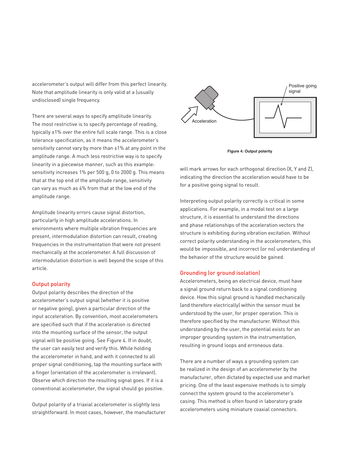accelerometer's output will differ from this perfect linearity. Note that amplitude linearity is only valid at a (usually undisclosed) single frequency.

There are several ways to specify amplitude linearity. The most restrictive is to specify percentage of reading, typically ±1% over the entire full scale range. This is a close tolerance specification, as it means the accelerometer's sensitivity cannot vary by more than ±1% at any point in the amplitude range. A much less restrictive way is to specify linearity in a piecewise manner, such as this example: sensitivity increases 1% per 500 g, 0 to 2000 g. This means that at the top end of the amplitude range, sensitivity can vary as much as 4% from that at the low end of the amplitude range.

Amplitude linearity errors cause signal distortion, particularly in high amplitude accelerations. In environments where multiple vibration frequencies are present, intermodulation distortion can result, creating frequencies in the instrumentation that were not present mechanically at the accelerometer. A full discussion of intermodulation distortion is well beyond the scope of this article.

## Output polarity

Output polarity describes the direction of the accelerometer's output signal (whether it is positive or negative going), given a particular direction of the input acceleration. By convention, most accelerometers are specified such that if the acceleration is directed into the mounting surface of the sensor, the output signal will be positive going. See Figure 4. If in doubt, the user can easily test and verify this. While holding the accelerometer in hand, and with it connected to all proper signal conditioning, tap the mounting surface with a finger (orientation of the accelerometer is irrelevant). Observe which direction the resulting signal goes. If it is a conventional accelerometer, the signal should go positive.

Output polarity of a triaxial accelerometer is slightly less straightforward. In most cases, however, the manufacturer



**Figure 4: Output polarity**

will mark arrows for each orthogonal direction (X, Y and Z), indicating the direction the acceleration would have to be for a positive going signal to result.

Interpreting output polarity correctly is critical in some applications. For example, in a modal test on a large structure, it is essential to understand the directions and phase relationships of the acceleration vectors the structure is exhibiting during vibration excitation. Without correct polarity understanding in the accelerometers, this would be impossible, and incorrect (or no) understanding of the behavior of the structure would be gained.

#### Grounding (or ground isolation)

Accelerometers, being an electrical device, must have a signal ground return back to a signal conditioning device. How this signal ground is handled mechanically (and therefore electrically) within the sensor must be understood by the user, for proper operation. This is therefore specified by the manufacturer. Without this understanding by the user, the potential exists for an improper grounding system in the instrumentation, resulting in ground loops and erroneous data.

There are a number of ways a grounding system can be realized in the design of an accelerometer by the manufacturer, often dictated by expected use and market pricing. One of the least expensive methods is to simply connect the system ground to the accelerometer's casing. This method is often found in laboratory grade accelerometers using miniature coaxial connectors.